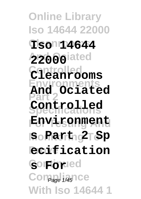**Online Library Iso 14644 22000 Cleanrooms Iso 14644 And Ociated 22000 Controlled Cleanrooms Environments Part 2 Specifications Controlled Environment Monitoring To s Part 2 Sp Prove ecification** *<u>Continued</u>* Com<sub>Page 1/45</sub> ICe **With Iso 14644 1 And Ociated**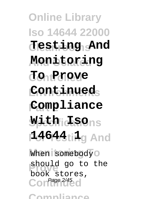**Online Library Iso 14644 22000 Cleanrooms Testing And And Ociated Monitoring Controlled To Prove Environments Continued Part 2 Compliance Specifications With Iso For Testing And 14644 1** When somebody<sup>O</sup> should go to the Contage 2/45 d book stores,

**Compliance**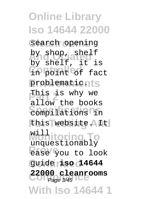**Online Library Iso 14644 22000** search opening by shop, shelf **Controlled** in point of fact problematicnts This is why we **Specifications** compilations in this website. It **Midhitoring To Prove** Contract <sub>2</sub> **Continued** guide **iso 14644 Compliance 22000 cleanrooms With Iso 14644 1** by shelf, it is allow the books unquestionably Page 3/45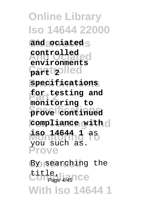**Online Library Iso 14644 22000** and ociated<sub>S</sub> **And Ociated environments Controlled part 2 Environments specifications for testing and Specifications prove continued** *compliance* with  $\circ$ **Monitoring To iso 14644 1** as **Prove controlled monitoring to** you such as.

By searching the title,<br>Com<sub>page 4/45</sub>1 Ce **With Iso 14644 1** Page 4/45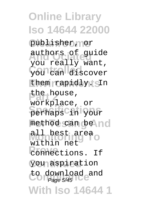**Online Library Iso 14644 22000** publisher, nor authors of guide **Controlled** you can discover them rapidly. SIn the house, **Specifications** perhaps in your method can be no all best area<br>Michigan To **Providence**<br> **Providence** you aspiration to download and<br>
Page 5/45 **With Iso 14644 1** you really want, workplace, or within net Page 5/45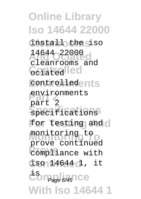**Online Library Iso 14644 22000** install the siso 14644 22000 Geiated<sup>lled</sup> controlledents **Part 2** environments **Specifications** specifications for testing and  $\circ$ **Monitoring To** monitoring to **Prove Compliance** with **Continued** iso 14644 1, it **Com**<sub>Page 6</sub><sub>45</sub> Ce</sub> **With Iso 14644 1** cleanrooms and part 2 prove continued Page 6/45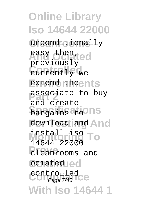**Online Library Iso 14644 22000 Cleanrooms** unconditionally **And Ociated** easy then, currently we extend theents associate to buy **bargains** at ons download and And install iso To **Prove** cleanrooms and **Ociated Controlled**<br>Comp<sub>age 7/45</sub> **With Iso 14644 1** previously and create 14644 22000 controlled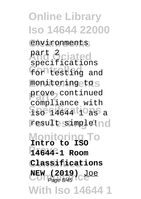**Online Library Iso 14644 22000 Cleanrooms** environments **And Ociated** part 2 for testing and monitoring to S prove continued **Specifications** result simple!nd **Monitoring To Intro to ISO Prove 14644-1 Room Continued Classifications NEW (2019)** Joe **With Iso 14644 1** specifications compliance with Page 8/45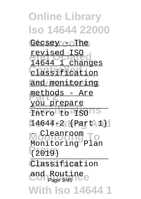**Online Library Iso 14644 22000** Gecsey - The **And Ociated** revised ISO **Controlled** classification and monitoring methods - Are Intro to ISONS **For Testing And** 14644-2 {Part 1} **Monitoring To** Monitoring Plan **Prove** (2019) Classification and Routine **With Iso 14644 1** 14644 1 changes you prepare Cleanroom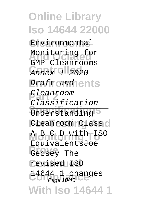**Online Library Iso 14644 22000 Cleanrooms** Environmental Monitoring for **Controlled** Annex 1 2020 *Eraft cand* ents **Cleanroom** Understanding<sup>S</sup> Cleanroom Class O **Monitoring To** A B C D with ISO **Prove** Gecsey The **Continued** revised ISO **Compage 10/45 With Iso 14644 1** GMP Cleanrooms Classification EquivalentsJoe -changes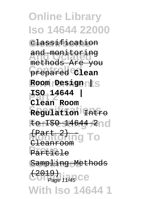**Online Library Iso 14644 22000 Cleanrooms** classification **And Ociated** and monitoring **Controlled** prepared **Clean Environments Room Design | Part 2 ISO 14644 | Specifications Regulation** Intro **For Testing And** to ISO 14644-2 **Montagling To** Particle Sampling Methods  $\left(\frac{2019}{200} + \frac{2019}{200} + \frac{2019}{200} + \frac{2019}{200} + \frac{2019}{200} + \frac{2019}{200} + \frac{2019}{200} + \frac{2019}{200} + \frac{2019}{200} + \frac{2019}{200} + \frac{2019}{200} + \frac{2019}{200} + \frac{2019}{200} + \frac{2019}{200} + \frac{2019}{200} + \frac{2019}{200} + \frac{2019}{20$ **With Iso 14644 1** methods Are you **Clean Room** Cleanroom Page 11/45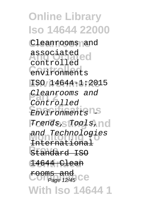**Online Library Iso 14644 22000 Cleanrooms** Cleanrooms and **And Ociated** associated **Controlled** environments **Environments** ISO 14644-1:2015 **Part 2** Cleanrooms and Environments<sup>15</sup>  $Trends, Tools, N0$ and Technologies **Prove** Standard ISO **Continued** 14644 Clean **Fooms and**<br>COIPage 12/45 CC **With Iso 14644 1** controlled Controlled International Page 12/45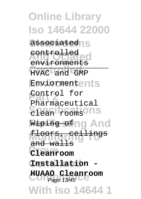**Online Library Iso 14644 22000** associatedns **And Ociated** controlled **Controlled** HVAC and GMP Enviormentents **Part 2** Control for **Specifications** Wiping of ng And **floors, ceilings Prove Cleanroom Continued Installation - Compliance HUAAO Cleanroom With Iso 14644 1** environments Pharmaceutical and walls Page 13/45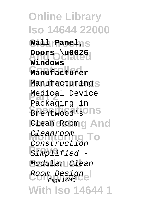**Online Library Iso 14644 22000 Cleanrooms Wall Panel, Doors** \u0026 **Controlled Manufacturer** Manufacturing<sub>S</sub> Medical Device Brentwood<sup>1</sup>s<sup>o</sup>ns **Elean Room g And Monitoring To** Cleanroom **Prove** Simplified - Modular Clean Room Design<sub>e</sub> **With Iso 14644 1 Windows** Packaging in Construction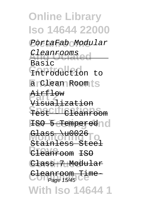**Online Library Iso 14644 22000 Cleanrooms** PortaFab Modular Cleanrooms<br>P **Controlled** Introduction to a Clean Room ts **Part 2** Airflow **Specification FSO 5 Tempered 10 Glass \u0026**<br>Stainless Stee **Provence** Class 7 Modular Cleanroom Tal **With Iso 14644 1** Basic Visualization  $\lambda$ u002 Stainless Cleanroom ISO <del>Time</del>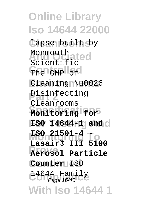**Online Library Iso 14644 22000 Cleanrooms** lapse built by **Monmouthated** The GMP of Cleaning \u0026 **Pisinfecting Specifications Monitoring for For Testing And ISO 14644-1 and Monitoring To ISO 21501-4 - Prove Aerosol Particle Counter** ISO **Compliance** 14644 Family Page 16/45**With Iso 14644 1** Monmouth Cleanrooms **Lasair® III 5100**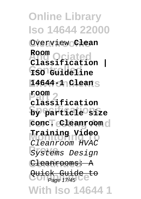**Online Library Iso 14644 22000**  $Overview$ **Clean And Ociated Classification | Controlled ISO Guideline Environments 14644-1 Clean Part 2 classification Specifications by particle size**  $\text{Conc}$ <del>T</del> Cleanroom  $\text{cl}$ **Monitoring To Training Video Provence** Design Cleanrooms: A Quick Guide **With Iso 14644 1 Room room** Cleanroom HVAC عدد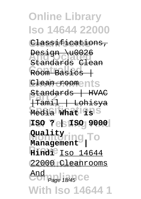**Online Library Iso 14644 22000 Cleanrooms** Classifications, **Design \u0026** Room Basics | Elean rooments **Standards | HVAC**<br>| Henri 1 | Isbisus **Specifications** Media **What is For Testing And ISO ? | ISO 9000 Monitoring To Hindi<sup>e</sup>** Iso 14644 **Continued** 22000 Cleanrooms And<br>
Page 18/45 CC **With Iso 14644 1** Standards Clean |Tamil | Lohisya **Management |** Page 18/45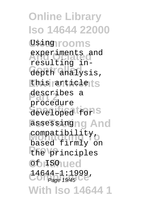**Online Library Iso 14644 22000** Using rooms experiments and **Controlled** depth analysis, **Ehis articlets** describes a developed for S assessingng And compatibility, **Phenomenon**<br>
the principles **Continued Compliance** 14644–1:1999, **With Iso 14644 1** resulting inprocedure based firmly on Page 19/45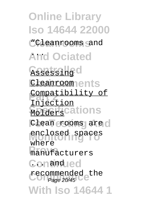**Online Library Iso 14644 22000 Cleanrooms** "Cleanrooms and **And Ociated** ... Assessing<sup>C</sup> **Cleanrooments Compatibility of Molders** Cations Clean rooms are o enclosed spaces **Prove** manufacturers Conandued recommended the<br>
Page 20/45 **With Iso 14644 1** Injection where Page 20/45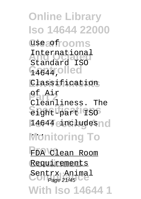**Online Library Iso 14644 22000** use a frooms International<br>Chandered 1900 **Controlled** 14644, **Environments** Classification **Part 2** of Air **Specifications** eight-part ISO 14644 eincludes o **Monitoring To Prove** FDA Clean Room **Requirements** Sentrx Animal<br>
Page 21/45 **With Iso 14644 1** Standard ISO Cleanliness. The Page 21/45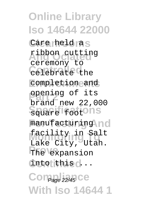**Online Library Iso 14644 22000** Care held as **And Ociated** ribbon cutting **Controlled** celebrate the **Environments** completion and **pening of its** Square footOns manufacturing no facility in Salt The expansion **Continued** into this ... Com<sub>Page 22/45</sub> Ce **With Iso 14644 1** ceremony to brand new 22,000 Lake City, Utah.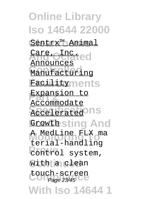**Online Library Iso 14644 22000 Cleanrooms** Sentrx™ Animal *<u>Are</u>* <del>Olnat</del>ed Manufacturing **Facilityments Expansion to Accelerated** IS **Growth sting And Monitoring To** A MedLine FLX ma **Prove Control** system, with a clean touch-screen<br>Page 23/45 **With Iso 14644 1** Announces Accommodate terial-handling Page 23/45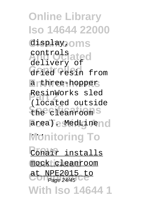**Online Library Iso 14644 22000** display, oms **And Ociated** controls **Controlled** dried resin from a three-hopper **Part 2** ResinWorks sled **Specifications** the cleanroom area). MedLine no **Monitoring To Conair** installs mock cleanroom at NPE2015 to **With Iso 14644 1** delivery of (located outside Page 24/45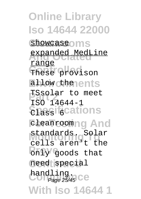**Online Library Iso 14644 22000** showcase<sup>o</sup>ms expanded MedLine These provison allow the ents **TSsolar** to meet  $\overline{\text{S}}$ **Passifications Eleanroomng And Monitoring To** standards. Solar **Provide** Conly goods that need special handling.<br>
Page 25/45 CC **With Iso 14644 1** range ISO 14644-1 cells aren't the Page 25/45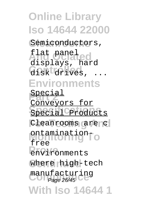**Online Library Iso 14644 22000** Semiconductors, **And Ociated** displays, hard disk drives, ... **Environments Special** Special<sup>C</sup>Products Cleanrooms are c ontamination<sub>To</sub> **Provironments** where high-tech manufacturing<br>Page 26/45 **With Iso 14644 1** flat panel Conveyors for free Page 26/45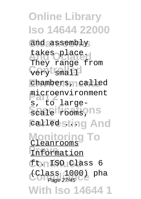**Online Library Iso 14644 22000** and assembly takes place. **Cory** small chambers, called microenvironment Scale rooms, ns **Falled sting And Monitoring To Information Continued** ft. ISO Class 6 **(Class 1000)** pha **With Iso 14644 1** They range from s, to large-Cleanrooms Page 27/45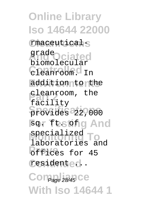**Online Library Iso 14644 22000 Cleanrooms** rmaceutical-**And Ociated** grade cleanroom. In addition to the **Part 2** facility **Specifications** provides 22,000 **For Testing And** specialized To **Provides** for 45 residented. Com<sub>Page 28/45</sub> Ce **With Iso 14644 1** biomolecular cleanroom, the laboratories and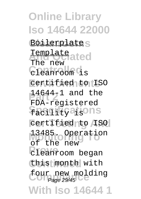**Online Library Iso 14644 22000 Boilerplate**S **Template**<br>The periated cleanroom<sup>c</sup>is certified to ISO **Part 2** 14644-1 and the **Sacistify at sons** certified to ISO 13485. Operation **Prove**<br>
cleanroom began this month with four new molding **With Iso 14644 1** The new FDA-registered of the new Page 29/45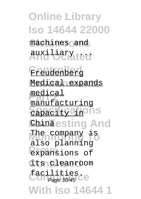**Online Library Iso 14644 22000** machines and auxi liary ted Freudenberg **Environments** Medical expands **Part 2** medical **Sapacity ain Ons Ehinaesting And** The company is **Prove** expansions of its cleanroom facilities.<br>
Page 30/45 **With Iso 14644 1** manufacturing also planning Page 30/45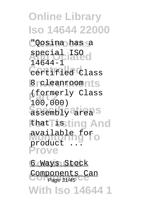**Online Library Iso 14644 22000 Cleanrooms** "Qosina has a special ISO<sub>d</sub> **Controlled** certified Class **B** cleanroomnts (formerly Class) assembly area<sup>s</sup> Ehat Tissting And available for<br>**Monitoring** To **Prove** 14644-1 100,000) product

6 Ways Stock **Components Can**<br>Page 31/45 **With Iso 14644 1** Page 31/45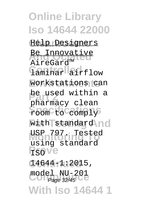**Online Library Iso 14644 22000 Cleanrooms** Help Designers **Be Innovative Controlled** laminar airflow **Environments** workstations can **be used within a** room to comply with standard no **Monitoring To** USP 797. Tested **Prove** ISO **Continued** 14644-1:2015, model NU-201<br>Page 32/45 **With Iso 14644 1** AireGard™ pharmacy clean using standard Page 32/45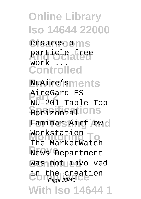**Online Library Iso 14644 22000** ensures a ms particle free **Controlled Environments** NuAire's **AireGard ES Specifications** Horizontal **Laminar Airflow** Workstation<br>The MarketWatch **News** Department was not involved in the creation<br>
Page 33/45 **With Iso 14644 1** work NU-201 Table Top Workstation Page 33/45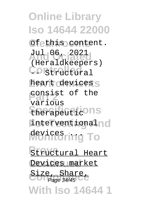**Online Library Iso 14644 22000**  $Ofethis$  content. **And Ociated** Jul 06, 2021 Constructural heart devices<sub>S</sub> **Ponsist of the Specifications** therapeutic interventionalno devices ring To **Structural Heart** Devices market Size, Share,<br>Page 34/45 **With Iso 14644 1** (Heraldkeepers) various Page 34/45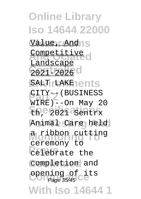**Online Library Iso 14644 22000** Value, Andns Competitive d 2021-2026<sup>c</sup> **SALT LAKE ents CITY-7 (BUSINESS)**<br>WIREL 200 Mars 2 Eh, 2021 Sentrx Animal Care held a ribbon cutting **Provection** completion and **Opening of its**<br>
Page 35/45 **With Iso 14644 1** Landscape WIRE)--On May 20 ceremony to Page 35/45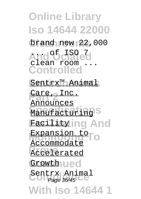**Online Library Iso 14644 22000 Cleanrooms** brand new 22,000 And <sup>of</sup> clated **Controlled** <u>Sentrx™ Animal</u> **Part 2** Care, Inc. **Manufacturing Facility ing And** Expansion to **Accelerated** Growth ued Sentrx Animal<br>
Page 36/45 **With Iso 14644 1** clean room Announces Accommodate Page 36/45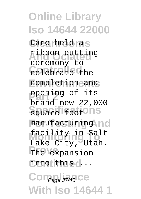**Online Library Iso 14644 22000** Care held as **And Ociated** ribbon cutting **Controlled** celebrate the **Environments** completion and **pening of its** Square footOns manufacturing no facility in Salt The expansion **Continued** into this ... Com<sub>Page</sub> 37/45 Ce **With Iso 14644 1** ceremony to brand new 22,000 Lake City, Utah.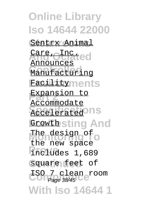**Online Library Iso 14644 22000 Cleanrooms** Sentrx Animal *<u>Are</u>* <del>Olnat</del>ed Manufacturing **Facilityments Expansion to Accelerated** IS **Growth sting And** The design of o **Prove** includes 1,689 square feet of **Compliance** ISO 7 clean room **With Iso 14644 1** Announces Accommodate the new space Page 38/45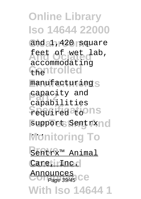**Online Library Iso 14644 22000** and 1,420 square feet of wet lab, Chantrolled manufacturing<sub>S</sub> **Papacity** and **Sequired tons** support Sentrx **Monitoring To Prove** Sentrx™ Animal Care, **Inc. Announces**<br> **Compage 39/45** CC **With Iso 14644 1** accommodating capabilities Page 39/45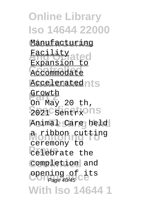**Online Library Iso 14644 22000 Manufacturing** <u>Facility</u><br>Annapoliated Accommodate **Acceleratednts** Growth  $2021$  Sentrx<sup>o</sup>ns Animal Care held a ribbon cutting **Provection** completion and **Opening of its**<br>
Page 40/45 **With Iso 14644 1** Expansion to On May 20 th, ceremony to Page 40/45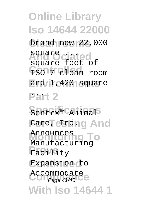**Online Library Iso 14644 22000 Cleanrooms** brand new 22,000 **And Ociated** square ... **Controlled** ISO 7 clean room and 1,420 square **Part 2** Sentrx™ Animal *<u>CareTeInding</u>* And **Monitoring To** Manufacturing **Facility Expansion** to Accommodate<br>
Page 41/45 **With Iso 14644 1** square feet of Announces Page 41/45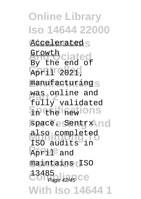**Online Library Iso 14644 22000** Accelerated<sub>S</sub> **And Ociated** Growth April 2021, manufacturing<sub>S</sub> was online and<br>Fallectional **Specifications** space. Sentrx no **Monitoring To** also completed April<sup>e</sup> and maintains *ISO* Comp<sub>age</sub> 42/45 CC **With Iso 14644 1** By the end of fully validated ISO audits in 13485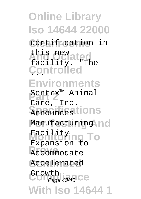**Online Library Iso 14644 22000 Cleanrooms** certification in **And Ociated** facility. "The **Controlled** ... **Environments <u>Sentrx<sup>™</sup> Animal</u> Announces** tions Manufacturing no **Facility**ing To Accommodate Accelerated Growth<br>
Page 43/45 CC **With Iso 14644 1** this new Care, Inc. Expansion to Page 43/45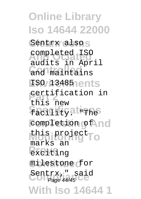**Online Library Iso 14644 22000** Sentrx also<sub>S</sub> **And Ociated** completed ISO and maintains **Environments** ISO 13485 **Part 2** this new *Sacistications* completion of no **Monitoring To** this project **Prove**<br>
exciting milestone for Sentrx," said<br>Page 44/45 **With Iso 14644 1** audits in April certification in marks an Page 44/45